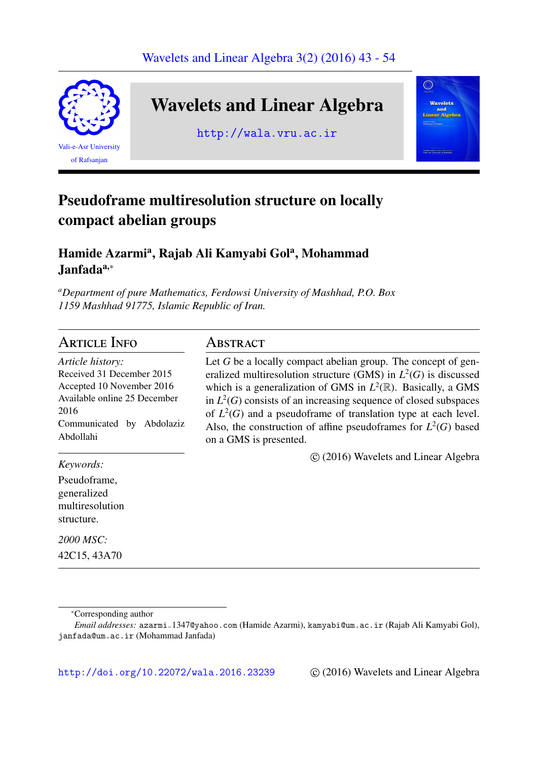

# Wavelets and Linear Algebra

http://wala.vru.ac.ir



# Pseudoframe multiresolution structure on locally compact abelian groups

## Hamide Azarmi<sup>a</sup>, Rajab Ali Kamyabi Gol<sup>a</sup>, Mohammad Janfada<sup>a,∗</sup>

*<sup>a</sup>Department of pure Mathematics, Ferdowsi University of Mashhad, P.O. Box 1159 Mashhad 91775, Islamic Republic of Iran.*

## **ARTICLE INFO**

*Article history:* Received 31 December 2015 Accepted 10 November 2016 Available online 25 December 2016 Communicated by Abdolaziz Abdollahi

*Keywords:*

Pseudoframe, generalized multiresolution structure.

*2000 MSC:* 42C15, 43A70

## **ABSTRACT**

Let *G* be a locally compact abelian group. The concept of generalized multiresolution structure (GMS) in *L* 2 (*G*) is discussed which is a generalization of GMS in  $L^2(\mathbb{R})$ . Basically, a GMS in  $L^2(G)$  consists of an increasing sequence of closed subspaces of  $L^2(G)$  and a pseudoframe of translation type at each level. Also, the construction of affine pseudoframes for  $L^2(G)$  based on a GMS is presented.

⃝c (2016) Wavelets and Linear Algebra

http://doi.org/10.22072/wala.2016.23239 © (2016) Wavelets and Linear Algebra

<sup>∗</sup>Corresponding author

*Email addresses:* azarmi−1347@yahoo.com (Hamide Azarmi), kamyabi@um.ac.ir (Rajab Ali Kamyabi Gol), janfada@um.ac.ir (Mohammad Janfada)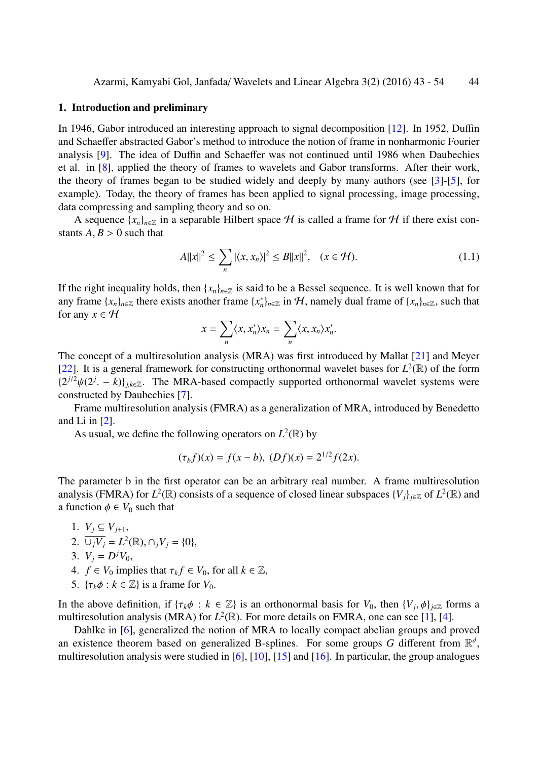#### 1. Introduction and preliminary

In 1946, Gabor introduced an interesting approach to signal decomposition [12]. In 1952, Duffin and Schaeffer abstracted Gabor's method to introduce the notion of frame in nonharmonic Fourier analysis [9]. The idea of Duffin and Schaeffer was not continued until 1986 when Daubechies et al. in [8], applied the theory of frames to wavelets and Gabor transfor[ms.](#page-11-0) After their work, the theory of frames began to be studied widely and deeply by many authors (see [3]-[5], for example)[.](#page-11-1) Today, the theory of frames has been applied to signal processing, image processing, data com[pre](#page-11-2)ssing and sampling theory and so on.

A sequence  $\{x_n\}_{n\in\mathbb{Z}}$  in a separable Hilbert space H is called a frame for H if there [e](#page-11-3)xi[st](#page-11-4) constants  $A, B > 0$  such that

$$
A||x||^2 \le \sum_n |\langle x, x_n \rangle|^2 \le B||x||^2, \quad (x \in \mathcal{H}). \tag{1.1}
$$

If the right inequality holds, then  $\{x_n\}_{n\in\mathbb{Z}}$  is said to be a Bessel sequence. It is well known that for any frame  $\{x_n\}_{n\in\mathbb{Z}}$  there exists another frame  $\{x_n^*\}_{n\in\mathbb{Z}}$  in H, namely dual frame of  $\{x_n\}_{n\in\mathbb{Z}}$ , such that for any  $x \in H$ 

$$
x = \sum_{n} \langle x, x_n^* \rangle x_n = \sum_{n} \langle x, x_n \rangle x_n^*.
$$

The concept of a multiresolution analysis (MRA) was first introduced by Mallat [21] and Meyer [22]. It is a general framework for constructing orthonormal wavelet bases for  $L^2(\mathbb{R})$  of the form  $\{2^{j/2}\psi(2^j - k)\}_{j,k\in\mathbb{Z}}$ . The MRA-based compactly supported orthonormal wavelet systems were constructed by Daubechies [7].

Frame multiresolution analysis (FMRA) as a generalization of MRA, introduce[d b](#page-11-5)y Benedetto [and](#page-11-6) Li in  $[2]$ .

As usual, we define the [fo](#page-11-7)llowing operators on  $L^2(\mathbb{R})$  by

$$
(\tau_b f)(x) = f(x - b), \ (Df)(x) = 2^{1/2} f(2x).
$$

The parameter b in the first operator can be an arbitrary real number. A frame multiresolution analysis (FMRA) for  $L^2(\mathbb{R})$  consists of a sequence of closed linear subspaces  $\{V_j\}_{j\in\mathbb{Z}}$  of  $L^2(\mathbb{R})$  and a function  $\phi \in V_0$  such that

1.  $V_j$  ⊆  $V_{j+1}$ , 2.  $\overline{\cup_j V_j} = L^2(\mathbb{R}), \cap_j V_j = \{0\},\$ 3.  $V_j = D^j V_0$ , 4.  $f \in V_0$  implies that  $\tau_k f \in V_0$ , for all  $k \in \mathbb{Z}$ , 5.  $\{\tau_k \phi : k \in \mathbb{Z}\}\$ is a frame for  $V_0$ .

In the above definition, if  $\{\tau_k\phi : k \in \mathbb{Z}\}\$ is an orthonormal basis for  $V_0$ , then  $\{V_j, \phi\}_{j \in \mathbb{Z}}\}$  forms a multiresolution analysis (MRA) for  $L^2(\mathbb{R})$ . For more details on FMRA, one can see [1], [4].

Dahlke in [6], generalized the notion of MRA to locally compact abelian groups and proved an existence theorem based on generalized B-splines. For some groups G different from  $\mathbb{R}^d$ , multiresolution analysis were studied in [6], [10], [15] and [16]. In particular, the gro[up](#page-10-0) a[na](#page-11-8)logues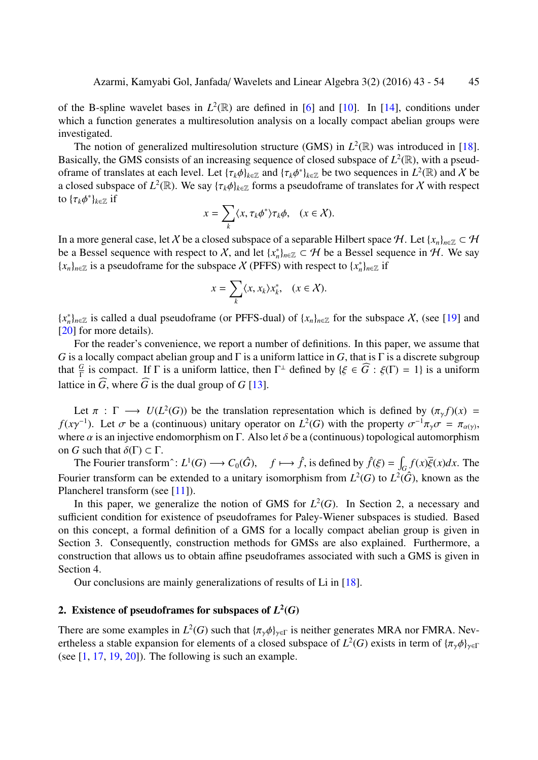of the B-spline wavelet bases in  $L^2(\mathbb{R})$  are defined in [6] and [10]. In [14], conditions under which a function generates a multiresolution analysis on a locally compact abelian groups were investigated.

The notion of generalized multiresolution structure ([G](#page-11-9)MS) in  $L^2(\mathbb{R})$  $L^2(\mathbb{R})$  [was](#page-11-11) introduced in [18]. Basically, the GMS consists of an increasing sequence of closed subspace of  $L^2(\mathbb{R})$ , with a pseudoframe of translates at each level. Let  $\{\tau_k \phi\}_{k \in \mathbb{Z}}$  and  $\{\tau_k \phi^*\}_{k \in \mathbb{Z}}$  be two sequences in  $L^2(\mathbb{R})$  and X be a closed subspace of  $L^2(\mathbb{R})$ . We say  $\{\tau_k \phi\}_{k \in \mathbb{Z}}$  forms a pseudoframe of translates for X with res[pec](#page-11-12)t to  $\{\tau_k \phi^*\}_{k \in \mathbb{Z}}$  if

$$
x = \sum_{k} \langle x, \tau_k \phi^* \rangle \tau_k \phi, \quad (x \in \mathcal{X}).
$$

In a more general case, let X be a closed subspace of a separable Hilbert space H. Let  $\{x_n\}_{n\in\mathbb{Z}} \subset H$ be a Bessel sequence with respect to X, and let  $\{x_n^*\}_{n \in \mathbb{Z}} \subset \mathcal{H}$  be a Bessel sequence in H. We say  ${x_n}_{n \in \mathbb{Z}}$  is a pseudoframe for the subspace X (PFFS) with respect to  ${x_n^*}_{n \in \mathbb{Z}}$  if

$$
x = \sum_{k} \langle x, x_k \rangle x_k^*, \quad (x \in \mathcal{X}).
$$

 ${x_n}^*$ <sub>*n*∈Z</sub> is called a dual pseudoframe (or PFFS-dual) of  ${x_n}$ <sub>*n*∈Z</sub> for the subspace X, (see [19] and [20] for more details).

For the reader's convenience, we report a number of definitions. In this paper, we assume that *G* is a locally compact abelian group and Γ is a uniform lattice in *G*, that is Γ is a discrete s[ubg](#page-11-13)roup t[hat](#page-11-14)  $\frac{G}{\Gamma}$  is compact. If  $\Gamma$  is a uniform lattice, then  $\Gamma^{\perp}$  defined by  $\{\xi \in \widehat{G} : \xi(\Gamma) = 1\}$  is a uniform lattice in  $\widehat{G}$ , where  $\widehat{G}$  is the dual group of *G* [13].

Let  $\pi : \Gamma \longrightarrow U(L^2(G))$  be the translation representation which is defined by  $(\pi_{\gamma} f)(x) =$ *f*( $xy^{-1}$ ). Let  $\sigma$  be a (continuous) unitary o[per](#page-11-15)ator on  $L^2(G)$  with the property  $\sigma^{-1}\pi_\gamma\sigma = \pi_{\alpha(\gamma)}$ , where  $\alpha$  is an injective endomorphism on  $\Gamma$ . Also let  $\delta$  be a (continuous) topological automorphism on *G* such that  $\delta(\Gamma) \subset \Gamma$ .

The Fourier transform<sup> $\hat{ }$ </sup>:  $L^1(G) \longrightarrow C_0(\hat{G}), \quad f \longmapsto \hat{f}$ , is defined by  $\hat{f}(\xi) = \int_G f(x)\overline{\xi}(x)dx$ . The Fourier transform can be extended to a unitary isomorphism from  $L^2(G)$  to  $L^2(\hat{G})$ , known as the Plancherel transform (see [11]).

In this paper, we generalize the notion of GMS for  $L^2(G)$ . In Section 2, a necessary and sufficient condition for existence of pseudoframes for Paley-Wiener subspaces is studied. Based on this concept, a formal [defi](#page-11-16)nition of a GMS for a locally compact abelian group is given in Section 3. Consequently, construction methods for GMSs are also explained. Furthermore, a construction that allows us to obtain affine pseudoframes associated with such a GMS is given in Section 4.

Our conclusions are mainly generalizations of results of Li in [18].

### 2. Existence of pseudoframes for subspaces of  $L^2(G)$

There are some examples in  $L^2(G)$  such that  ${\{\pi_\gamma \phi\}}_{\gamma \in \Gamma}$  is neither ge[ner](#page-11-12)ates MRA nor FMRA. Nevertheless a stable expansion for elements of a closed subspace of  $L^2(G)$  exists in term of  $\{\pi_\gamma \phi\}_{\gamma \in \Gamma}$ (see  $[1, 17, 19, 20]$ ). The following is such an example.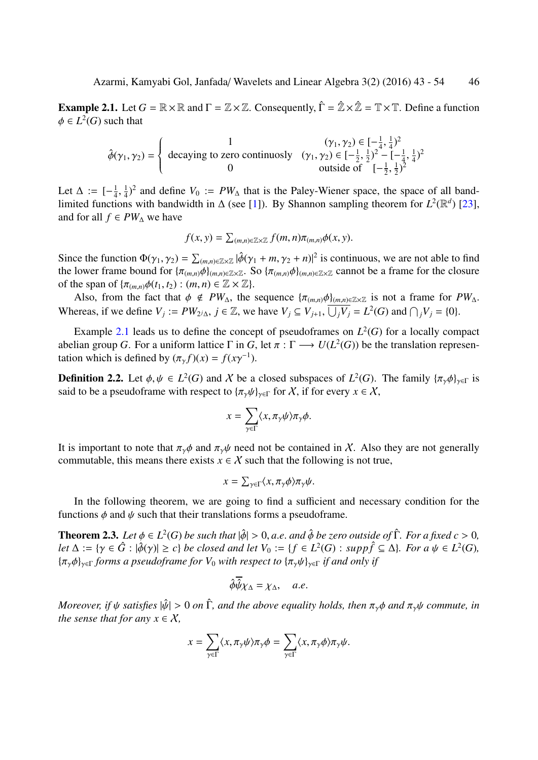**Example 2.1.** Let  $G = \mathbb{R} \times \mathbb{R}$  and  $\Gamma = \mathbb{Z} \times \mathbb{Z}$ . Consequently,  $\hat{\Gamma} = \hat{\mathbb{Z}} \times \hat{\mathbb{Z}} = \mathbb{T} \times \mathbb{T}$ . Define a function  $\phi \in L^2(G)$  such that

$$
\hat{\phi}(\gamma_1, \gamma_2) = \begin{cases}\n1 & (\gamma_1, \gamma_2) \in [-\frac{1}{4}, \frac{1}{4})^2 \\
\text{decaying to zero continuously} & (\gamma_1, \gamma_2) \in [-\frac{1}{2}, \frac{1}{2})^2 - [-\frac{1}{4}, \frac{1}{4})^2 \\
 & \text{outside of} & [-\frac{1}{2}, \frac{1}{2})^2\n\end{cases}
$$

<span id="page-3-0"></span>Let  $\Delta := \begin{bmatrix} -\frac{1}{4} \end{bmatrix}$  $\frac{1}{4}, \frac{1}{4}$  $\frac{1}{4}$ )<sup>2</sup> and define *V*<sub>0</sub> := *PW*<sub> $\triangle$ </sub> that is the Paley-Wiener space, the space of all bandlimited functions with bandwidth in  $\Delta$  (see [1]). By Shannon sampling theorem for  $L^2(\mathbb{R}^d)$  [23], and for all  $f \in PW_\Delta$  we have

$$
f(x, y) = \sum_{(m,n)\in\mathbb{Z}\times\mathbb{Z}} f(m,n)\pi_{(m,n)}\phi(x, y).
$$

Since the function  $\Phi(\gamma_1, \gamma_2) = \sum_{(m,n)\in \mathbb{Z}\times \mathbb{Z}} |\hat{\phi}(\gamma_1 + m, \gamma_2 + n)|^2$  is continuous, we are not able to find the lower frame bound for  $\{\pi_{(m,n)}\phi\}_{(m,n)\in\mathbb{Z}\times\mathbb{Z}}$ . So  $\{\pi_{(m,n)}\phi\}_{(m,n)\in\mathbb{Z}\times\mathbb{Z}}$  cannot be a frame for the closure of the span of  $\{\pi_{(m,n)}\phi(t_1, t_2) : (m,n) \in \mathbb{Z} \times \mathbb{Z}\}.$ 

Also, from the fact that  $\phi \notin PW_\Delta$ , the sequence  $\{\pi_{(m,n)}\phi\}_{(m,n)\in\mathbb{Z}\times\mathbb{Z}}$  is not a frame for  $PW_\Delta$ . Whereas, if we define  $V_j := PW_{2/\Delta}$ ,  $j \in \mathbb{Z}$ , we have  $V_j \subseteq V_{j+1}$ ,  $\overline{\bigcup_j V_j} = L^2(G)$  and  $\bigcap_j V_j = \{0\}$ .

Example 2.1 leads us to define the concept of pseudoframes on  $L^2(G)$  for a locally compact abelian group *G*. For a uniform lattice  $\Gamma$  in *G*, let  $\pi : \Gamma \longrightarrow U(L^2(G))$  be the translation representation which is defined by  $(\pi_{\gamma} f)(x) = f(x\gamma^{-1})$ .

**Definition [2.](#page-3-0)2.** Let  $\phi, \psi \in L^2(G)$  and X be a closed subspaces of  $L^2(G)$ . The family  $\{\pi_\gamma \phi\}_{\gamma \in \Gamma}$  is said to be a pseudoframe with respect to  $\{\pi_{\gamma}\psi\}_{\gamma\in\Gamma}$  for X, if for every  $x \in X$ ,

$$
x = \sum_{\gamma \in \Gamma} \langle x, \pi_{\gamma} \psi \rangle \pi_{\gamma} \phi.
$$

It is important to note that  $\pi_{\gamma}\phi$  and  $\pi_{\gamma}\psi$  need not be contained in X. Also they are not generally commutable, this means there exists  $x \in \mathcal{X}$  such that the following is not true,

$$
x = \sum_{\gamma \in \Gamma} \langle x, \pi_{\gamma} \phi \rangle \pi_{\gamma} \psi.
$$

In the following theorem, we are going to find a sufficient and necessary condition for the functions  $\phi$  and  $\psi$  such that their translations forms a pseudoframe.

**Theorem 2.3.** Let  $\phi \in L^2(G)$  be such that  $|\hat{\phi}| > 0$ , a.e. and  $\hat{\phi}$  be zero outside of  $\hat{\Gamma}$ *. For a fixed*  $c > 0$ ,  $\ell$  *et*  $\Delta := {\gamma \in \hat{G} : |\hat{\phi}(\gamma)| \ge c}$  *be closed and let*  $V_0 := {f \in L^2(G) : supp \hat{f} \subseteq \Delta}$ *. For a*  $\psi \in L^2(G)$ *,* {πγϕ}γ∈<sup>Γ</sup> *forms a pseudoframe for V*<sup>0</sup> *with respect to* {πγψ}γ∈<sup>Γ</sup> *if and only if*

$$
\hat{\phi}\hat{\psi}\chi_{\Delta}=\chi_{\Delta}, \quad a.e.
$$

<span id="page-3-1"></span>*Moreover, if*  $\psi$  *satisfies*  $|\hat{\psi}| > 0$  *on*  $\hat{\Gamma}$ *, and the above equality holds, then*  $\pi_{\gamma}\phi$  *and*  $\pi_{\gamma}\psi$  *commute, in the sense that for any*  $x \in X$ ,

$$
x=\sum_{\gamma\in \Gamma}\langle x,\pi_{\gamma}\psi\rangle\pi_{\gamma}\phi=\sum_{\gamma\in \Gamma}\langle x,\pi_{\gamma}\phi\rangle\pi_{\gamma}\psi.
$$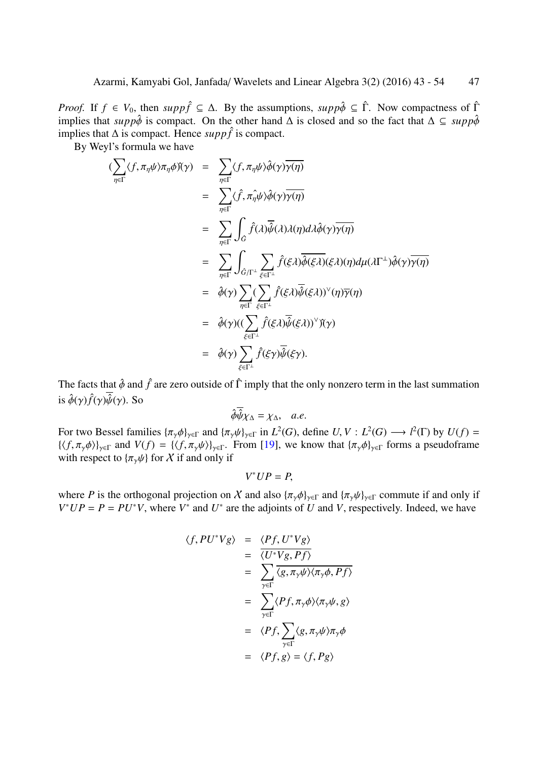*Proof.* If  $f \in V_0$ , then  $supp \hat{f} \subseteq \Delta$ . By the assumptions,  $supp \hat{\phi} \subseteq \hat{\Gamma}$ . Now compactness of  $\hat{\Gamma}$ implies that *supp* $\hat{\phi}$  is compact. On the other hand  $\Delta$  is closed and so the fact that  $\Delta \subseteq supp\hat{\phi}$ implies that  $\Delta$  is compact. Hence *suppf* is compact.

By Weyl's formula we have

$$
\begin{array}{rcl}\n(\sum_{\eta\in\Gamma}\langle f,\pi_{\eta}\psi\rangle\pi_{\eta}\phi)(\gamma) & = & \sum_{\eta\in\Gamma}\langle f,\pi_{\eta}\psi\rangle\hat{\phi}(\gamma)\overline{\gamma(\eta)} \\
 & = & \sum_{\eta\in\Gamma}\langle\hat{f},\pi_{\eta}\psi\rangle\hat{\phi}(\gamma)\overline{\gamma(\eta)} \\
 & = & \sum_{\eta\in\Gamma}\int_{\hat{G}}\hat{f}(\lambda)\overline{\hat{\psi}}(\lambda)\lambda(\eta)d\lambda\hat{\phi}(\gamma)\overline{\gamma(\eta)} \\
 & = & \sum_{\eta\in\Gamma}\int_{\hat{G}/\Gamma^{\perp}}\sum_{\xi\in\Gamma^{\perp}}\hat{f}(\xi\lambda)\overline{\hat{\phi}(\xi\lambda)}(\xi\lambda)(\eta)d\mu(\lambda\Gamma^{\perp})\hat{\phi}(\gamma)\overline{\gamma(\eta)} \\
 & = & \hat{\phi}(\gamma)\sum_{\eta\in\Gamma}\sum_{\xi\in\Gamma^{\perp}}\hat{f}(\xi\lambda)\overline{\hat{\psi}(\xi\lambda)}(\gamma)\gamma(\eta)\overline{\gamma(\eta)} \\
 & = & \hat{\phi}(\gamma)((\sum_{\xi\in\Gamma^{\perp}}\hat{f}(\xi\lambda)\overline{\hat{\psi}(\xi\lambda)})^{\vee})(\gamma) \\
 & = & \hat{\phi}(\gamma)\sum_{\xi\in\Gamma^{\perp}}\hat{f}(\xi\gamma)\overline{\hat{\psi}(\xi\gamma)}.\n\end{array}
$$

The facts that  $\hat{\phi}$  and  $\hat{f}$  are zero outside of  $\hat{\Gamma}$  imply that the only nonzero term in the last summation is  $\hat{\phi}(\gamma)\hat{f}(\gamma)\hat{\psi}(\gamma)$ . So

$$
\hat{\phi}\overline{\hat{\psi}}\chi_{\Delta}=\chi_{\Delta}, \quad a.e.
$$

For two Bessel families  $\{\pi_\gamma \phi\}_{\gamma \in \Gamma}$  and  $\{\pi_\gamma \psi\}_{\gamma \in \Gamma}$  in  $L^2(G)$ , define  $U, V : L^2(G) \longrightarrow l^2(\Gamma)$  by  $U(f) =$  $\{\langle f, \pi_{\gamma}\phi \rangle\}_{\gamma \in \Gamma}$  and  $V(f) = \{\langle f, \pi_{\gamma}\psi \rangle\}_{\gamma \in \Gamma}$ . From [19], we know that  $\{\pi_{\gamma}\phi\}_{\gamma \in \Gamma}$  forms a pseudoframe with respect to  $\{\pi_{\gamma}\psi\}$  for X if and only if

 $V^*UP = P$ ,

where *P* is the orthogonal projection on X and [als](#page-11-13)o  $\{\pi_{\gamma}\phi\}_{\gamma\in\Gamma}$  and  $\{\pi_{\gamma}\psi\}_{\gamma\in\Gamma}$  commute if and only if  $V^*UP = P = PU^*V$ , where  $V^*$  and  $U^*$  are the adjoints of *U* and *V*, respectively. Indeed, we have

$$
\langle f, PU^*Vg \rangle = \frac{\langle Pf, U^*Vg \rangle}{\langle U^*Vg, Pf \rangle}
$$
  
= 
$$
\sum_{\gamma \in \Gamma} \overline{\langle g, \pi_{\gamma} \psi \rangle \langle \pi_{\gamma} \phi, Pf \rangle}
$$
  
= 
$$
\sum_{\gamma \in \Gamma} \langle Pf, \pi_{\gamma} \phi \rangle \langle \pi_{\gamma} \psi, g \rangle
$$
  
= 
$$
\langle Pf, \sum_{\gamma \in \Gamma} \langle g, \pi_{\gamma} \psi \rangle \pi_{\gamma} \phi
$$
  
= 
$$
\langle Pf, g \rangle = \langle f, Pg \rangle
$$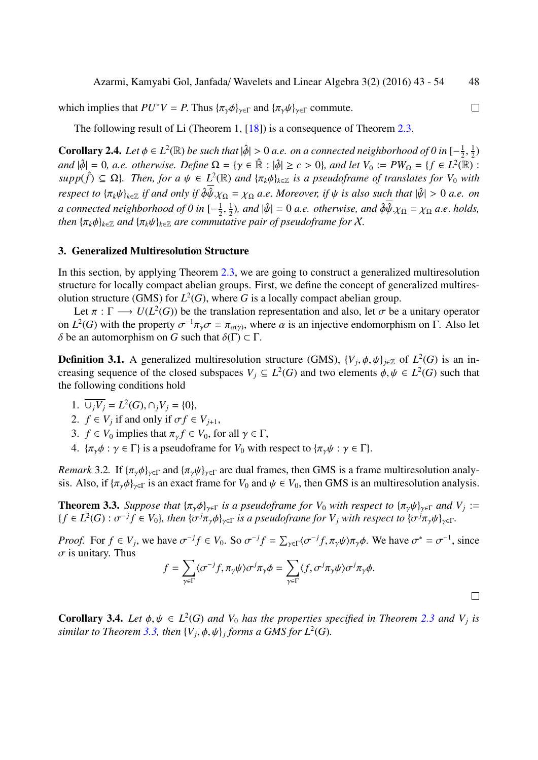which implies that  $PU^*V = P$ . Thus  $\{\pi_{\gamma}\phi\}_{\gamma\in\Gamma}$  and  $\{\pi_{\gamma}\psi\}_{\gamma\in\Gamma}$  commute.

The following result of Li (Theorem 1, [18]) is a consequence of Theorem 2.3.

**Corollary 2.4.** Let  $\phi \in L^2(\mathbb{R})$  be such that  $|\hat{\phi}| > 0$  a.e. on a connected neighborhood of 0 in  $[-\frac{1}{2}]$  $\frac{1}{2}, \frac{1}{2}$  $(\frac{1}{2})$  $\alpha$   $|\phi| = 0$ ,  $a.e.$  otherwise. Define  $\Omega = \{ \gamma \in \mathbb{R} : |\hat{\phi}| \ge c > 0 \}$ , and let  $V_0 := PW_{\Omega} = \{ f \in L^2(\mathbb{R}) :$  $supp(\hat{f}) \subseteq \Omega$  $supp(\hat{f}) \subseteq \Omega$  $supp(\hat{f}) \subseteq \Omega$ . Then, for a  $\psi \in L^2(\mathbb{R})$  and  $\{\pi_k \phi\}_{k \in \mathbb{Z}}$  is a pseudoframe of tra[nsla](#page-3-1)tes for  $V_0$  with *respect to*  $\{\pi_k \psi\}_{k \in \mathbb{Z}}$  *if and only if*  $\phi \overline{\hat{\psi}}$ . $\chi_{\Omega} = \chi_{\Omega}$  *a.e. Moreover, if*  $\psi$  *is also such that*  $|\hat{\psi}| > 0$  *a.e. on a connected neighborhood of 0 in* [− 1  $\frac{1}{2}, \frac{1}{2}$  $\frac{1}{2}$ ), and  $|\hat{\psi}| = 0$  *a.e.* otherwise, and  $\hat{\phi}\hat{\psi}. \chi_{\Omega} = \chi_{\Omega}$  *a.e.* holds, *then*  $\{\pi_k \phi\}_{k \in \mathbb{Z}}$  *and*  $\{\pi_k \psi\}_{k \in \mathbb{Z}}$  *are commutative pair of pseudoframe for* X.

#### 3. Generalized Multiresolution Structure

In this section, by applying Theorem 2.3, we are going to construct a generalized multiresolution structure for locally compact abelian groups. First, we define the concept of generalized multiresolution structure (GMS) for  $L^2(G)$ , where G is a locally compact abelian group.

Let  $\pi : \Gamma \longrightarrow U(L^2(G))$  be the tr[ansla](#page-3-1)tion representation and also, let  $\sigma$  be a unitary operator on  $L^2(G)$  with the property  $\sigma^{-1}\pi_\gamma\sigma = \pi_{\alpha(\gamma)}$ , where  $\alpha$  is an injective endomorphism on  $\Gamma$ . Also let δ be an automorphism on *G* such that  $\delta(\Gamma) \subset \Gamma$ .

**Definition 3.1.** A generalized multiresolution structure (GMS),  $\{V_j, \phi, \psi\}_{j \in \mathbb{Z}}$  of  $L^2(G)$  is an increasing sequence of the closed subspaces  $V_j \subseteq L^2(G)$  and two elements  $\phi, \psi \in L^2(G)$  such that the following conditions hold

- <span id="page-5-1"></span>1.  $\overline{\bigcup_j V_j} = L^2(G), \bigcap_j V_j = \{0\},\$
- 2.  $f \in V_j$  if and only if  $\sigma f \in V_{j+1}$ ,
- 3.  $f \in V_0$  implies that  $\pi_\gamma f \in V_0$ , for all  $\gamma \in \Gamma$ ,
- 4.  $\{\pi_{\gamma}\phi : \gamma \in \Gamma\}$  is a pseudoframe for  $V_0$  with respect to  $\{\pi_{\gamma}\psi : \gamma \in \Gamma\}$ .

*Remark* 3.2. If  $\{\pi_{\gamma}\phi\}_{\gamma\in\Gamma}$  and  $\{\pi_{\gamma}\psi\}_{\gamma\in\Gamma}$  are dual frames, then GMS is a frame multiresolution analysis. Also, if  ${\{\pi_{\gamma}\phi\}_{\gamma\in\Gamma}}$  is an exact frame for  $V_0$  and  $\psi \in V_0$ , then GMS is an multiresolution analysis.

**Theorem 3.3.** *Suppose that*  $\{\pi_\gamma \phi\}_{\gamma \in \Gamma}$  *is a pseudoframe for*  $V_0$  *with respect to*  $\{\pi_\gamma \psi\}_{\gamma \in \Gamma}$  *and*  $V_j :=$  ${f \in L^2(G) : \sigma^{-j}f \in V_0}, \text{ then } {\{\sigma^j\pi_\gamma\phi\}_{\gamma\in\Gamma}} \text{ is a pseudoframe for } V_j \text{ with respect to } {\{\sigma^j\pi_\gamma\psi\}_{\gamma\in\Gamma}}.$ 

<span id="page-5-0"></span>*Proof.* For  $f \in V_j$ , we have  $\sigma^{-j} f \in V_0$ . So  $\sigma^{-j} f = \sum_{\gamma \in \Gamma} \langle \sigma^{-j} f, \pi_{\gamma} \psi \rangle \pi_{\gamma} \phi$ . We have  $\sigma^* = \sigma^{-1}$ , since  $\sigma$  is unitary. Thus

$$
f = \sum_{\gamma \in \Gamma} \langle \sigma^{-j} f, \pi_{\gamma} \psi \rangle \sigma^{j} \pi_{\gamma} \phi = \sum_{\gamma \in \Gamma} \langle f, \sigma^{j} \pi_{\gamma} \psi \rangle \sigma^{j} \pi_{\gamma} \phi.
$$

**Corollary 3.4.** Let  $\phi, \psi \in L^2(G)$  and  $V_0$  has the properties specified in Theorem 2.3 and  $V_j$  is similar to Theorem 3.3, then  $\{V_j, \phi, \psi\}_j$  forms a GMS for  $L^2(G)$ .

 $\Box$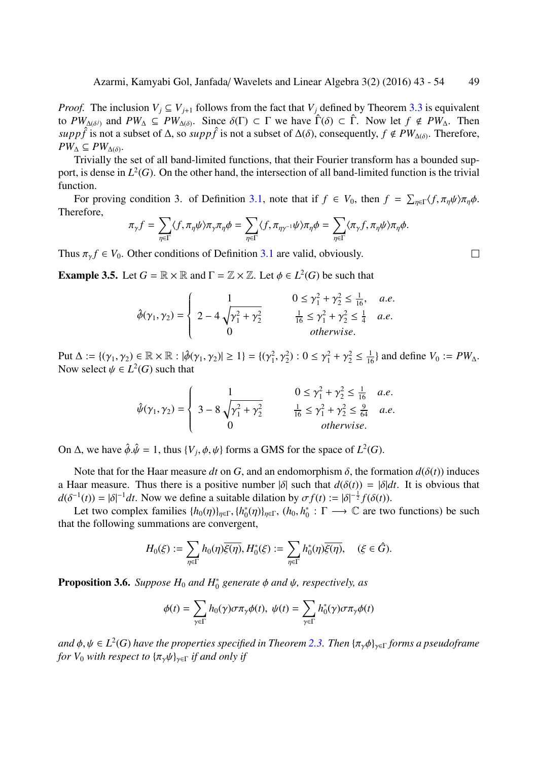*Proof.* The inclusion  $V_i \subseteq V_{i+1}$  follows from the fact that  $V_i$  defined by Theorem 3.3 is equivalent to  $PW_{\Delta(\delta^j)}$  and  $PW_{\Delta} \subseteq PW_{\Delta(\delta)}$ . Since  $\delta(\Gamma) \subset \Gamma$  we have  $\hat{\Gamma}(\delta) \subset \hat{\Gamma}$ . Now let  $f \notin PW_{\Delta}$ . Then  $supp \hat{f}$  is not a subset of  $\Delta$ , so  $supp \hat{f}$  is not a subset of  $\Delta(\delta)$ , consequently,  $f \notin PW_{\Delta(\delta)}$ . Therefore,  $PW_\Delta\subseteq PW_{\Delta(\delta)}$ .

Trivially the set of all band-limited functions, that their Fourier transform ha[s a b](#page-5-0)ounded support, is dense in  $L^2(G)$ . On the other hand, the intersection of all band-limited function is the trivial function.

For proving condition 3. of Definition 3.1, note that if  $f \in V_0$ , then  $f = \sum_{\eta \in \Gamma} \langle f, \pi_{\eta} \psi \rangle \pi_{\eta} \phi$ . Therefore,

$$
\pi_{\gamma} f = \sum_{\eta \in \Gamma} \langle f, \pi_{\eta} \psi \rangle \pi_{\gamma} \pi_{\eta} \phi = \sum_{\eta \in \Gamma} \langle f, \pi_{\eta \gamma^{-1}} \psi \rangle \pi_{\eta} \phi = \sum_{\eta \in \Gamma} \langle \pi_{\gamma} f, \pi_{\eta} \psi \rangle \pi_{\eta} \phi.
$$

Thus  $\pi_{\gamma} f \in V_0$ . Other conditions of Definition 3.1 are valid, obviously.

**Example 3.5.** Let  $G = \mathbb{R} \times \mathbb{R}$  and  $\Gamma = \mathbb{Z} \times \mathbb{Z}$ . Let  $\phi \in L^2(G)$  be such that

$$
\hat{\phi}(\gamma_1, \gamma_2) = \begin{cases}\n1 & 0 \le \gamma_1^2 + \gamma_2^2 \le \frac{1}{16}, & a.e. \\
2 - 4\sqrt{\gamma_1^2 + \gamma_2^2} & \frac{1}{16} \le \gamma_1^2 + \gamma_2^2 \le \frac{1}{4} & a.e. \\
0 & otherwise.\n\end{cases}
$$

Put  $\Delta := \{(\gamma_1, \gamma_2) \in \mathbb{R} \times \mathbb{R} : |\hat{\phi}(\gamma_1, \gamma_2)| \ge 1\} = \{(\gamma_1^2)$  $(2, 2, \gamma_1^2)$ :  $0 \le \gamma_1^2 + \gamma_2^2 \le \frac{1}{16}$  and define  $V_0 := PW_{\Delta}$ . Now select  $\psi \in L^2(G)$  such that

$$
\hat{\psi}(\gamma_1, \gamma_2) = \begin{cases}\n1 & 0 \le \gamma_1^2 + \gamma_2^2 \le \frac{1}{16} & a.e. \\
3 - 8\sqrt{\gamma_1^2 + \gamma_2^2} & \frac{1}{16} \le \gamma_1^2 + \gamma_2^2 \le \frac{9}{64} & a.e. \\
0 & otherwise.\n\end{cases}
$$

On  $\Delta$ , we have  $\hat{\phi}.\hat{\psi} = 1$ , thus  $\{V_j, \phi, \psi\}$  forms a GMS for the space of  $L^2(G)$ .

Note that for the Haar measure *dt* on *G*, and an endomorphism  $\delta$ , the formation  $d(\delta(t))$  induces a Haar measure. Thus there is a positive number  $|\delta|$  such that  $d(\delta(t)) = |\delta|dt$ . It is obvious that  $d(\delta^{-1}(t)) = |\delta|^{-1} dt$ . Now we define a suitable dilation by  $\sigma f(t) := |\delta|^{-\frac{1}{2}} f(\delta(t))$ .

Let two complex families  $\{h_0(\eta)\}_{\eta \in \Gamma}, \{h_0^*\}$ <sup>\*</sup><sub>0</sub>(η)}<sub>η∈Γ</sub>, (h<sub>0</sub>, h<sup>\*</sup><sub>0</sub>  $\gamma_0^* : \Gamma \longrightarrow \mathbb{C}$  are two functions) be such that the following summations are convergent,

$$
H_0(\xi) := \sum_{\eta \in \Gamma} h_0(\eta) \overline{\xi(\eta)}, H_0^*(\xi) := \sum_{\eta \in \Gamma} h_0^*(\eta) \overline{\xi(\eta)}, \quad (\xi \in \hat{G}).
$$

**Proposition 3.6.** *Suppose*  $H_0$  *and*  $H_0^*$ 0 *generate* ϕ *and* ψ*, respectively, as*

$$
\phi(t) = \sum_{\gamma \in \Gamma} h_0(\gamma) \sigma \pi_{\gamma} \phi(t), \ \psi(t) = \sum_{\gamma \in \Gamma} h_0^*(\gamma) \sigma \pi_{\gamma} \phi(t)
$$

*and* ϕ, ψ ∈ *L* 2 (*G*) *have the properties specified in Theorem 2.3. Then* {πγϕ}γ∈<sup>Γ</sup> *forms a pseudoframe for*  $V_0$  *with respect to*  $\{\pi_\nu \psi\}_{\nu \in \Gamma}$  *if and only if* 

 $\Box$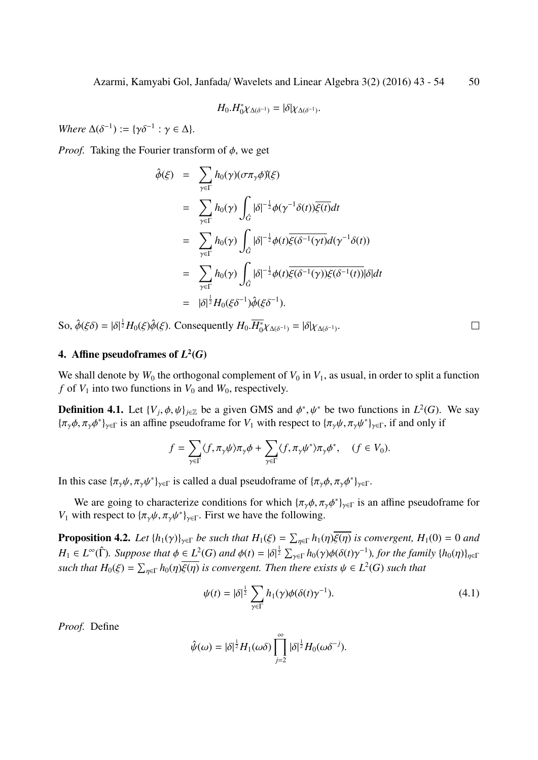$$
H_0.H_0^*\chi_{\Delta(\delta^{-1})}=|\delta|\chi_{\Delta(\delta^{-1})}.
$$

*Where*  $\Delta(\delta^{-1}) := {\gamma \delta^{-1} : \gamma \in \Delta}$ .

*Proof.* Taking the Fourier transform of  $\phi$ , we get

$$
\hat{\phi}(\xi) = \sum_{\gamma \in \Gamma} h_0(\gamma)(\sigma \pi_\gamma \phi)(\xi)
$$
\n
$$
= \sum_{\gamma \in \Gamma} h_0(\gamma) \int_{\hat{G}} |\delta|^{-\frac{1}{2}} \phi(\gamma^{-1} \delta(t)) \overline{\xi(t)} dt
$$
\n
$$
= \sum_{\gamma \in \Gamma} h_0(\gamma) \int_{\hat{G}} |\delta|^{-\frac{1}{2}} \phi(t) \overline{\xi(\delta^{-1}(\gamma t)} d(\gamma^{-1} \delta(t))
$$
\n
$$
= \sum_{\gamma \in \Gamma} h_0(\gamma) \int_{\hat{G}} |\delta|^{-\frac{1}{2}} \phi(t) \overline{\xi(\delta^{-1}(\gamma))} \xi(\delta^{-1}(t)) |\delta| dt
$$
\n
$$
= |\delta|^{\frac{1}{2}} H_0(\xi \delta^{-1}) \hat{\phi}(\xi \delta^{-1}).
$$

So,  $\hat{\phi}(\xi\delta) = |\delta|^{\frac{1}{2}}H_0(\xi)\hat{\phi}(\xi)$ . Consequently  $H_0.\overline{H}_0^*\chi_{\Delta(\delta^{-1})} = |\delta|\chi_{\Delta(\delta^{-1})}$ .

### 4. Affine pseudoframes of  $L^2(G)$

We shall denote by  $W_0$  the orthogonal complement of  $V_0$  in  $V_1$ , as usual, in order to split a function *f* of  $V_1$  into two functions in  $V_0$  and  $W_0$ , respectively.

**Definition 4.1.** Let  $\{V_j, \phi, \psi\}_{j \in \mathbb{Z}}$  be a given GMS and  $\phi^*, \psi^*$  be two functions in  $L^2(G)$ . We say  ${\pi_{\gamma}\phi, \pi_{\gamma}\phi^*}_{\gamma\in\Gamma}$  is an affine pseudoframe for  $V_1$  with respect to  ${\pi_{\gamma}\psi, \pi_{\gamma}\psi^*}_{\gamma\in\Gamma}$ , if and only if

$$
f = \sum_{\gamma \in \Gamma} \langle f, \pi_{\gamma} \psi \rangle \pi_{\gamma} \phi + \sum_{\gamma \in \Gamma} \langle f, \pi_{\gamma} \psi^* \rangle \pi_{\gamma} \phi^*, \quad (f \in V_0).
$$

In this case  ${\{\pi_\gamma\psi, \pi_\gamma\psi^*\}}_{\gamma \in \Gamma}$  is called a dual pseudoframe of  ${\{\pi_\gamma\phi, \pi_\gamma\phi^*\}}_{\gamma \in \Gamma}$ .

We are going to characterize conditions for which  $\{\pi_\gamma \phi, \pi_\gamma \phi^*\}_{\gamma \in \Gamma}$  is an affine pseudoframe for *V*<sub>1</sub> with respect to  $\{\pi_{\gamma}\psi, \pi_{\gamma}\psi^*\}_{\gamma \in \Gamma}$ . First we have the following.

**Proposition 4.2.** Let  $\{h_1(\gamma)\}_{\gamma \in \Gamma}$  be such that  $H_1(\xi) = \sum_{\eta \in \Gamma} h_1(\eta) \overline{\xi(\eta)}$  is convergent,  $H_1(0) = 0$  and  $H_1 \in L^{\infty}(\hat{\Gamma})$ *. Suppose that*  $\phi \in L^2(G)$  and  $\phi(t) = |\delta|^{\frac{1}{2}} \sum_{\gamma \in \Gamma} h_0(\gamma) \phi(\delta(t) \gamma^{-1})$ *, for the family*  $\{h_0(\eta)\}_{\eta \in \Gamma}$ *such that*  $H_0(\xi) = \sum_{\eta \in \Gamma} h_0(\eta) \overline{\xi(\eta)}$  *is convergent. Then there exists*  $\psi \in L^2(G)$  *such that* 

<span id="page-7-0"></span>
$$
\psi(t) = |\delta|^{\frac{1}{2}} \sum_{\gamma \in \Gamma} h_1(\gamma) \phi(\delta(t) \gamma^{-1}). \tag{4.1}
$$

 $\Box$ 

*Proof.* Define

$$
\hat{\psi}(\omega) = |\delta|^{\frac{1}{2}} H_1(\omega \delta) \prod_{j=2}^{\infty} |\delta|^{\frac{1}{2}} H_0(\omega \delta^{-j}).
$$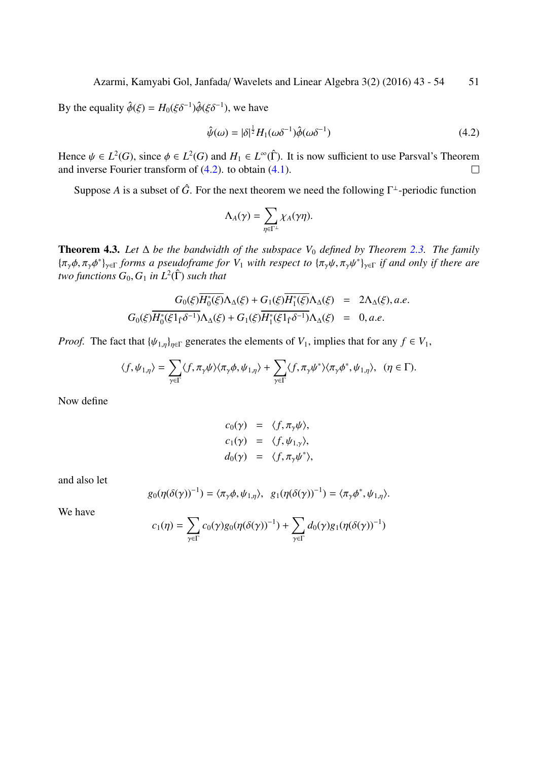By the equality  $\hat{\phi}(\xi) = H_0(\xi \delta^{-1}) \hat{\phi}(\xi \delta^{-1})$ , we have

$$
\hat{\psi}(\omega) = |\delta|^{\frac{1}{2}} H_1(\omega \delta^{-1}) \hat{\phi}(\omega \delta^{-1})
$$
\n(4.2)

Hence  $\psi \in L^2(G)$ , since  $\phi \in L^2(G)$  and  $H_1 \in L^{\infty}(\hat{\Gamma})$ . It is now sufficient to use Parsval's Theorem and inverse Fourier transform of (4.2). to obtain (4.1).  $\Box$ 

Suppose *A* is a subset of  $\hat{G}$ . For the next theorem we need the following  $\Gamma^{\perp}$ -periodic function

$$
\Lambda_A(\gamma)=\sum_{\eta\in\Gamma^\perp}\chi_A(\gamma\eta).
$$

Theorem 4.3. *Let* ∆ *be the bandwidth of the subspace V*<sup>0</sup> *defined by Theorem 2.3. The family* {πγϕ, πγϕ ∗ }γ∈<sup>Γ</sup> *forms a pseudoframe for V*<sup>1</sup> *with respect to* {πγψ, πγψ ∗ }γ∈<sup>Γ</sup> *if and only if there are*  $two$  functions  $G_0, G_1$  in  $L^2(\hat{\Gamma})$  such that

$$
G_0(\xi)\overline{H_0^*(\xi)}\Lambda_{\Delta}(\xi) + G_1(\xi)\overline{H_1^*(\xi)}\Lambda_{\Delta}(\xi) = 2\Lambda_{\Delta}(\xi), a.e.
$$
  

$$
G_0(\xi)\overline{H_0^*(\xi 1_{\hat{\Gamma}}\delta^{-1})}\Lambda_{\Delta}(\xi) + G_1(\xi)\overline{H_1^*(\xi 1_{\hat{\Gamma}}\delta^{-1})}\Lambda_{\Delta}(\xi) = 0, a.e.
$$

*Proof.* The fact that  $\{\psi_{1,\eta}\}_{\eta \in \Gamma}$  generates the elements of  $V_1$ , implies that for any  $f \in V_1$ ,

$$
\langle f, \psi_{1,\eta} \rangle = \sum_{\gamma \in \Gamma} \langle f, \pi_{\gamma} \psi \rangle \langle \pi_{\gamma} \phi, \psi_{1,\eta} \rangle + \sum_{\gamma \in \Gamma} \langle f, \pi_{\gamma} \psi^* \rangle \langle \pi_{\gamma} \phi^*, \psi_{1,\eta} \rangle, \quad (\eta \in \Gamma).
$$

Now define

$$
c_0(\gamma) = \langle f, \pi_{\gamma}\psi \rangle,
$$
  
\n
$$
c_1(\gamma) = \langle f, \psi_{1,\gamma} \rangle,
$$
  
\n
$$
d_0(\gamma) = \langle f, \pi_{\gamma}\psi^* \rangle,
$$

and also let

$$
g_0(\eta(\delta(\gamma))^{-1}) = \langle \pi_\gamma \phi, \psi_{1,\eta} \rangle, \ \ g_1(\eta(\delta(\gamma))^{-1}) = \langle \pi_\gamma \phi^*, \psi_{1,\eta} \rangle.
$$

We have

$$
c_1(\eta) = \sum_{\gamma \in \Gamma} c_0(\gamma) g_0(\eta(\delta(\gamma))^{-1}) + \sum_{\gamma \in \Gamma} d_0(\gamma) g_1(\eta(\delta(\gamma))^{-1})
$$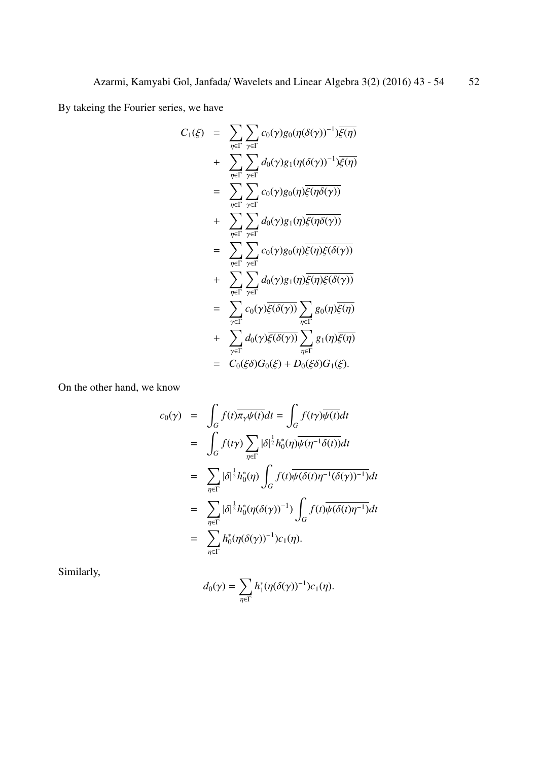By takeing the Fourier series, we have

$$
C_1(\xi) = \sum_{\eta \in \Gamma} \sum_{\gamma \in \Gamma} c_0(\gamma) g_0(\eta(\delta(\gamma))^{-1}) \overline{\xi(\eta)}
$$
  
+ 
$$
\sum_{\eta \in \Gamma} \sum_{\gamma \in \Gamma} d_0(\gamma) g_1(\eta(\delta(\gamma))^{-1}) \overline{\xi(\eta)}
$$
  
= 
$$
\sum_{\eta \in \Gamma} \sum_{\gamma \in \Gamma} c_0(\gamma) g_0(\eta) \overline{\xi(\eta \delta(\gamma))}
$$
  
+ 
$$
\sum_{\eta \in \Gamma} \sum_{\gamma \in \Gamma} d_0(\gamma) g_1(\eta) \overline{\xi(\eta \delta(\gamma))}
$$
  
= 
$$
\sum_{\eta \in \Gamma} \sum_{\gamma \in \Gamma} c_0(\gamma) g_0(\eta) \overline{\xi(\eta) \xi(\delta(\gamma))}
$$
  
+ 
$$
\sum_{\eta \in \Gamma} \sum_{\gamma \in \Gamma} d_0(\gamma) g_1(\eta) \overline{\xi(\eta) \xi(\delta(\gamma))}
$$
  
+ 
$$
\sum_{\gamma \in \Gamma} c_0(\gamma) \overline{\xi(\delta(\gamma))} \sum_{\eta \in \Gamma} g_0(\eta) \overline{\xi(\eta)}
$$
  
+ 
$$
\sum_{\gamma \in \Gamma} d_0(\gamma) \overline{\xi(\delta(\gamma))} \sum_{\eta \in \Gamma} g_1(\eta) \overline{\xi(\eta)}
$$
  
= 
$$
C_0(\xi \delta) G_0(\xi) + D_0(\xi \delta) G_1(\xi).
$$

On the other hand, we know

$$
c_0(\gamma) = \int_G f(t) \overline{\pi_{\gamma} \psi(t)} dt = \int_G f(t \gamma) \overline{\psi(t)} dt
$$
  
\n
$$
= \int_G f(t \gamma) \sum_{\eta \in \Gamma} |\delta|^{\frac{1}{2}} h_0^*(\eta) \overline{\psi(\eta^{-1} \delta(t))} dt
$$
  
\n
$$
= \sum_{\eta \in \Gamma} |\delta|^{\frac{1}{2}} h_0^*(\eta) \int_G f(t) \overline{\psi(\delta(t) \eta^{-1} (\delta(\gamma))^{-1})} dt
$$
  
\n
$$
= \sum_{\eta \in \Gamma} |\delta|^{\frac{1}{2}} h_0^*(\eta(\delta(\gamma))^{-1}) \int_G f(t) \overline{\psi(\delta(t) \eta^{-1})} dt
$$
  
\n
$$
= \sum_{\eta \in \Gamma} h_0^*(\eta(\delta(\gamma))^{-1}) c_1(\eta).
$$

Similarly,

$$
d_0(\gamma) = \sum_{\eta \in \Gamma} h_1^*(\eta(\delta(\gamma))^{-1}) c_1(\eta).
$$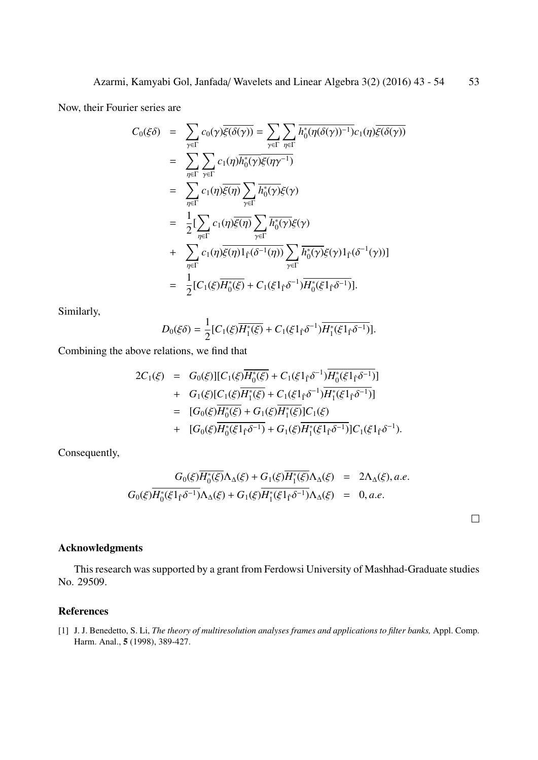Now, their Fourier series are

$$
C_0(\xi\delta) = \sum_{\gamma \in \Gamma} c_0(\gamma)\overline{\xi(\delta(\gamma))} = \sum_{\gamma \in \Gamma} \sum_{\eta \in \Gamma} \overline{h_0^*(\eta(\delta(\gamma))^{-1})}c_1(\eta)\overline{\xi(\delta(\gamma))}
$$
  
\n
$$
= \sum_{\eta \in \Gamma} \sum_{\gamma \in \Gamma} c_1(\eta)\overline{h_0^*(\gamma)}\overline{\xi(\eta\gamma^{-1})}
$$
  
\n
$$
= \sum_{\eta \in \Gamma} c_1(\eta)\overline{\xi(\eta)} \sum_{\gamma \in \Gamma} \overline{h_0^*(\gamma)}\xi(\gamma)
$$
  
\n
$$
= \frac{1}{2}[\sum_{\eta \in \Gamma} c_1(\eta)\overline{\xi(\eta)} \sum_{\gamma \in \Gamma} \overline{h_0^*(\gamma)}\xi(\gamma)
$$
  
\n
$$
+ \sum_{\eta \in \Gamma} c_1(\eta)\overline{\xi(\eta)}1_{\Gamma}(\delta^{-1}(\eta)) \sum_{\gamma \in \Gamma} \overline{h_0^*(\gamma)}\xi(\gamma)1_{\Gamma}(\delta^{-1}(\gamma))]
$$
  
\n
$$
= \frac{1}{2}[C_1(\xi)\overline{H_0^*(\xi)} + C_1(\xi1_{\Gamma}\delta^{-1})\overline{H_0^*(\xi1_{\Gamma}\delta^{-1})}].
$$

Similarly,

$$
D_0(\xi\delta) = \frac{1}{2} [C_1(\xi) \overline{H_1^*(\xi)} + C_1(\xi 1_{\hat{\Gamma}} \delta^{-1}) \overline{H_1^*(\xi 1_{\hat{\Gamma}} \delta^{-1})}].
$$

Combining the above relations, we find that

$$
2C_1(\xi) = G_0(\xi)][C_1(\xi)\overline{H_0^*(\xi)} + C_1(\xi 1_f\delta^{-1})\overline{H_0^*(\xi 1_f\delta^{-1})}]
$$
  
+ 
$$
G_1(\xi)[C_1(\xi)\overline{H_1^*(\xi)} + C_1(\xi 1_f\delta^{-1})\overline{H_1^*(\xi 1_f\delta^{-1})}]
$$
  
= 
$$
[G_0(\xi)\overline{H_0^*(\xi)} + G_1(\xi)\overline{H_1^*(\xi)}]C_1(\xi)
$$
  
+ 
$$
[G_0(\xi)\overline{H_0^*(\xi 1_f\delta^{-1})} + G_1(\xi)\overline{H_1^*(\xi 1_f\delta^{-1})}]C_1(\xi 1_f\delta^{-1}).
$$

Consequently,

$$
G_0(\xi)\overline{H_0^*(\xi)}\Lambda_{\Delta}(\xi) + G_1(\xi)\overline{H_1^*(\xi)}\Lambda_{\Delta}(\xi) = 2\Lambda_{\Delta}(\xi), a.e.
$$
  

$$
G_0(\xi)\overline{H_0^*(\xi 1_f\delta^{-1})}\Lambda_{\Delta}(\xi) + G_1(\xi)\overline{H_1^*(\xi 1_f\delta^{-1})}\Lambda_{\Delta}(\xi) = 0, a.e.
$$

 $\Box$ 

#### Acknowledgments

This research was supported by a grant from Ferdowsi University of Mashhad-Graduate studies No. 29509.

#### References

<span id="page-10-0"></span>[1] J. J. Benedetto, S. Li, *The theory of multiresolution analyses frames and applications to filter banks,* Appl. Comp. Harm. Anal., 5 (1998), 389-427.